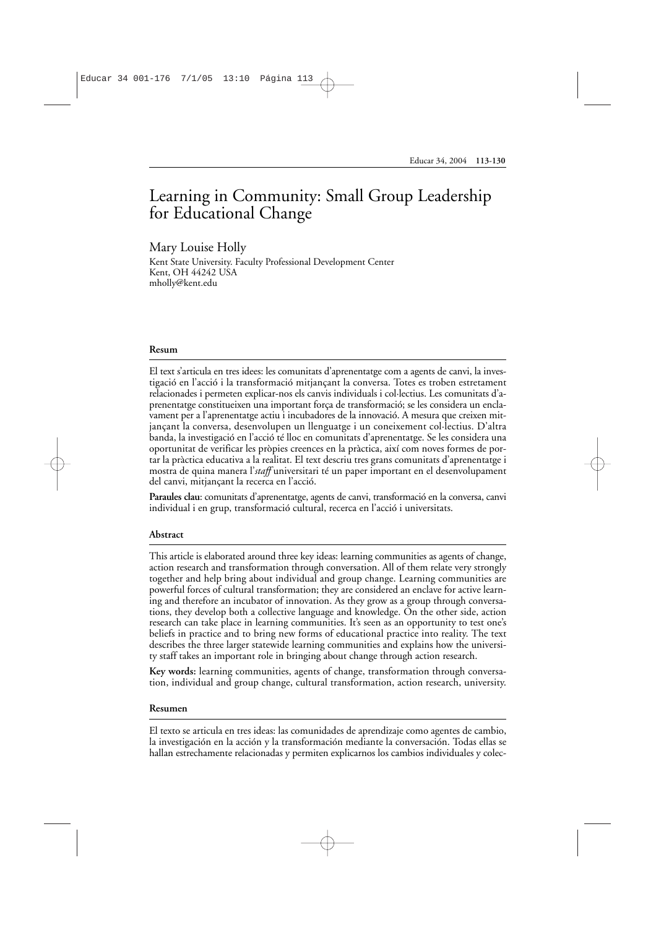# Learning in Community: Small Group Leadership for Educational Change

### Mary Louise Holly

Kent State University. Faculty Professional Development Center Kent, OH 44242 USA mholly@kent.edu

#### **Resum**

El text s'articula en tres idees: les comunitats d'aprenentatge com a agents de canvi, la investigació en l'acció i la transformació mitjançant la conversa. Totes es troben estretament relacionades i permeten explicar-nos els canvis individuals i col·lectius. Les comunitats d'aprenentatge constitueixen una important força de transformació; se les considera un enclavament per a l'aprenentatge actiu i incubadores de la innovació. A mesura que creixen mitjançant la conversa, desenvolupen un llenguatge i un coneixement col·lectius. D'altra banda, la investigació en l'acció té lloc en comunitats d'aprenentatge. Se les considera una oportunitat de verificar les pròpies creences en la pràctica, així com noves formes de portar la pràctica educativa a la realitat. El text descriu tres grans comunitats d'aprenentatge i mostra de quina manera l'*staff* universitari té un paper important en el desenvolupament del canvi, mitjançant la recerca en l'acció.

**Paraules clau**: comunitats d'aprenentatge, agents de canvi, transformació en la conversa, canvi individual i en grup, transformació cultural, recerca en l'acció i universitats.

#### **Abstract**

This article is elaborated around three key ideas: learning communities as agents of change, action research and transformation through conversation. All of them relate very strongly together and help bring about individual and group change. Learning communities are powerful forces of cultural transformation; they are considered an enclave for active learning and therefore an incubator of innovation. As they grow as a group through conversations, they develop both a collective language and knowledge. On the other side, action research can take place in learning communities. It's seen as an opportunity to test one's beliefs in practice and to bring new forms of educational practice into reality. The text describes the three larger statewide learning communities and explains how the university staff takes an important role in bringing about change through action research.

**Key words:** learning communities, agents of change, transformation through conversation, individual and group change, cultural transformation, action research, university.

#### **Resumen**

El texto se articula en tres ideas: las comunidades de aprendizaje como agentes de cambio, la investigación en la acción y la transformación mediante la conversación. Todas ellas se hallan estrechamente relacionadas y permiten explicarnos los cambios individuales y colec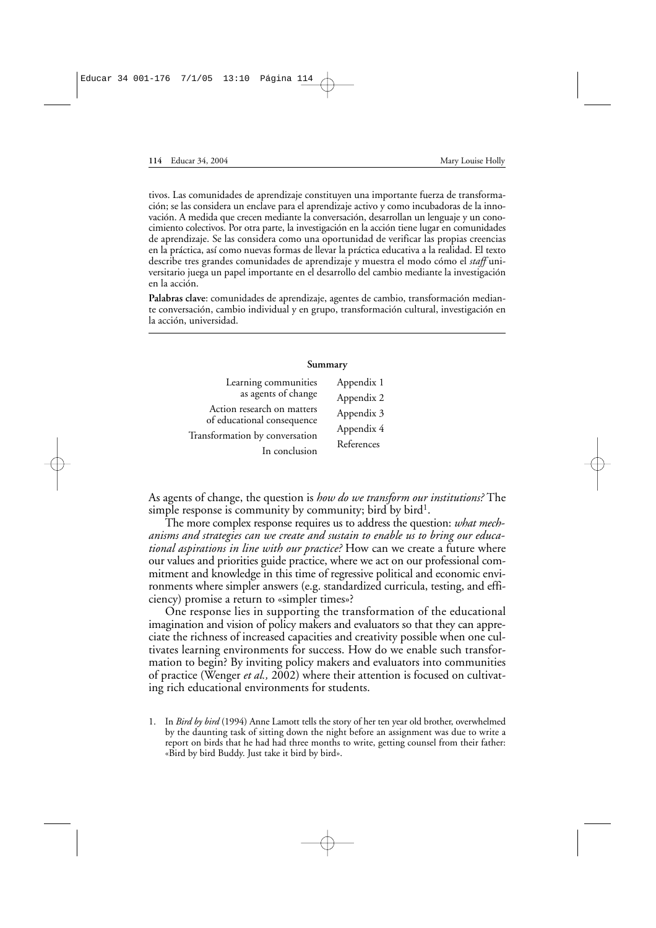tivos. Las comunidades de aprendizaje constituyen una importante fuerza de transformación; se las considera un enclave para el aprendizaje activo y como incubadoras de la innovación. A medida que crecen mediante la conversación, desarrollan un lenguaje y un conocimiento colectivos. Por otra parte, la investigación en la acción tiene lugar en comunidades de aprendizaje. Se las considera como una oportunidad de verificar las propias creencias en la práctica, así como nuevas formas de llevar la práctica educativa a la realidad. El texto describe tres grandes comunidades de aprendizaje y muestra el modo cómo el *staff* universitario juega un papel importante en el desarrollo del cambio mediante la investigación en la acción.

**Palabras clave**: comunidades de aprendizaje, agentes de cambio, transformación mediante conversación, cambio individual y en grupo, transformación cultural, investigación en la acción, universidad.

#### **Summary**

| Learning communities                                     | Appendix 1 |
|----------------------------------------------------------|------------|
| as agents of change                                      | Appendix 2 |
| Action research on matters<br>of educational consequence | Appendix 3 |
| Transformation by conversation                           | Appendix 4 |
| In conclusion                                            | References |
|                                                          |            |

As agents of change, the question is *how do we transform our institutions?* The simple response is community by community; bird by bird<sup>1</sup>.

The more complex response requires us to address the question: *what mechanisms and strategies can we create and sustain to enable us to bring our educational aspirations in line with our practice?* How can we create a future where our values and priorities guide practice, where we act on our professional commitment and knowledge in this time of regressive political and economic environments where simpler answers (e.g. standardized curricula, testing, and efficiency) promise a return to «simpler times»?

One response lies in supporting the transformation of the educational imagination and vision of policy makers and evaluators so that they can appreciate the richness of increased capacities and creativity possible when one cultivates learning environments for success. How do we enable such transformation to begin? By inviting policy makers and evaluators into communities of practice (Wenger *et al.,* 2002) where their attention is focused on cultivating rich educational environments for students.

1. In *Bird by bird* (1994) Anne Lamott tells the story of her ten year old brother, overwhelmed by the daunting task of sitting down the night before an assignment was due to write a report on birds that he had had three months to write, getting counsel from their father: «Bird by bird Buddy. Just take it bird by bird».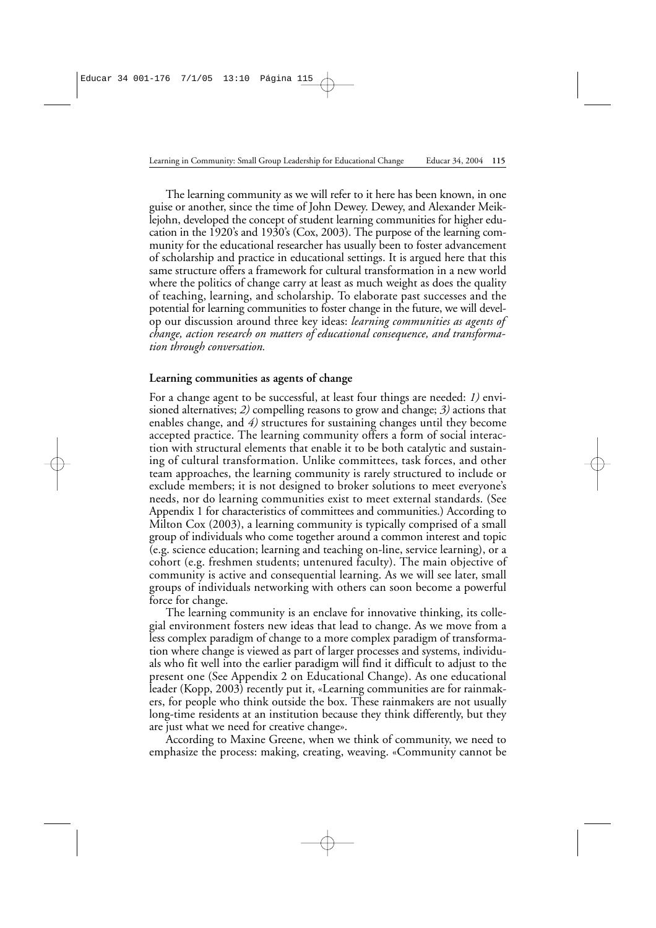The learning community as we will refer to it here has been known, in one guise or another, since the time of John Dewey. Dewey, and Alexander Meiklejohn, developed the concept of student learning communities for higher education in the 1920's and 1930's (Cox, 2003). The purpose of the learning community for the educational researcher has usually been to foster advancement of scholarship and practice in educational settings. It is argued here that this same structure offers a framework for cultural transformation in a new world where the politics of change carry at least as much weight as does the quality of teaching, learning, and scholarship. To elaborate past successes and the potential for learning communities to foster change in the future, we will develop our discussion around three key ideas: *learning communities as agents of change, action research on matters of educational consequence, and transformation through conversation.*

### **Learning communities as agents of change**

For a change agent to be successful, at least four things are needed: *1)* envisioned alternatives; *2)* compelling reasons to grow and change; *3)* actions that enables change, and *4)* structures for sustaining changes until they become accepted practice. The learning community offers a form of social interaction with structural elements that enable it to be both catalytic and sustaining of cultural transformation. Unlike committees, task forces, and other team approaches, the learning community is rarely structured to include or exclude members; it is not designed to broker solutions to meet everyone's needs, nor do learning communities exist to meet external standards. (See Appendix 1 for characteristics of committees and communities.) According to Milton Cox (2003), a learning community is typically comprised of a small group of individuals who come together around a common interest and topic (e.g. science education; learning and teaching on-line, service learning), or a cohort (e.g. freshmen students; untenured faculty). The main objective of community is active and consequential learning. As we will see later, small groups of individuals networking with others can soon become a powerful force for change.

The learning community is an enclave for innovative thinking, its collegial environment fosters new ideas that lead to change. As we move from a less complex paradigm of change to a more complex paradigm of transformation where change is viewed as part of larger processes and systems, individuals who fit well into the earlier paradigm will find it difficult to adjust to the present one (See Appendix 2 on Educational Change). As one educational leader (Kopp, 2003) recently put it, «Learning communities are for rainmakers, for people who think outside the box. These rainmakers are not usually long-time residents at an institution because they think differently, but they are just what we need for creative change».

According to Maxine Greene, when we think of community, we need to emphasize the process: making, creating, weaving. «Community cannot be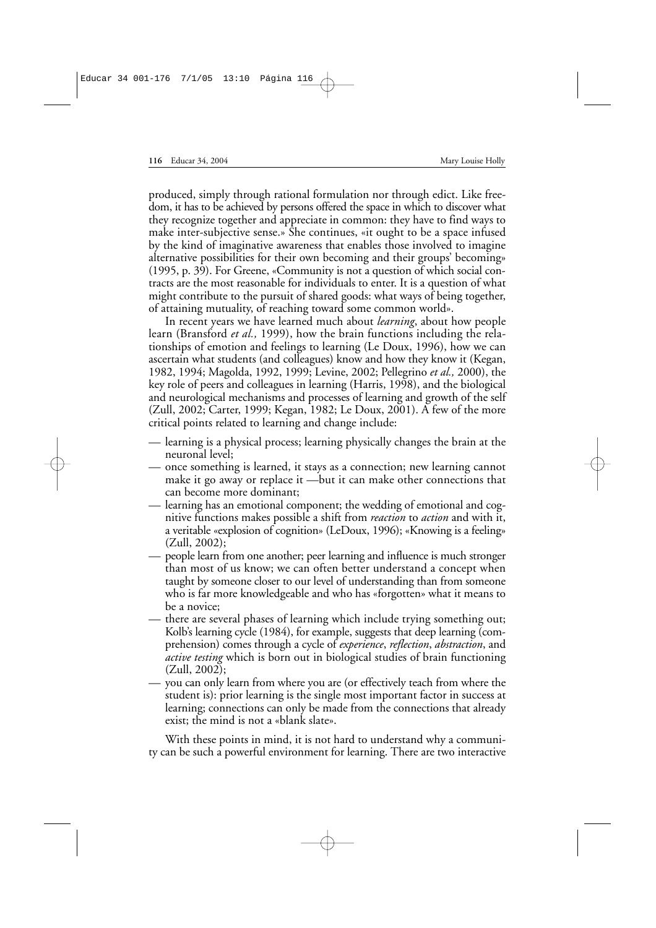produced, simply through rational formulation nor through edict. Like freedom, it has to be achieved by persons offered the space in which to discover what they recognize together and appreciate in common: they have to find ways to make inter-subjective sense.» She continues, «it ought to be a space infused by the kind of imaginative awareness that enables those involved to imagine alternative possibilities for their own becoming and their groups' becoming» (1995, p. 39). For Greene, «Community is not a question of which social contracts are the most reasonable for individuals to enter. It is a question of what might contribute to the pursuit of shared goods: what ways of being together, of attaining mutuality, of reaching toward some common world».

In recent years we have learned much about *learning*, about how people learn (Bransford *et al.,* 1999), how the brain functions including the relationships of emotion and feelings to learning (Le Doux, 1996), how we can ascertain what students (and colleagues) know and how they know it (Kegan, 1982, 1994; Magolda, 1992, 1999; Levine, 2002; Pellegrino *et al.,* 2000), the key role of peers and colleagues in learning (Harris, 1998), and the biological and neurological mechanisms and processes of learning and growth of the self (Zull, 2002; Carter, 1999; Kegan, 1982; Le Doux, 2001). A few of the more critical points related to learning and change include:

- learning is a physical process; learning physically changes the brain at the neuronal level;
- once something is learned, it stays as a connection; new learning cannot make it go away or replace it —but it can make other connections that can become more dominant;
- learning has an emotional component; the wedding of emotional and cognitive functions makes possible a shift from *reaction* to *action* and with it, a veritable «explosion of cognition» (LeDoux, 1996); «Knowing is a feeling» (Zull, 2002);
- people learn from one another; peer learning and influence is much stronger than most of us know; we can often better understand a concept when taught by someone closer to our level of understanding than from someone who is far more knowledgeable and who has «forgotten» what it means to be a novice;
- there are several phases of learning which include trying something out; Kolb's learning cycle (1984), for example, suggests that deep learning (comprehension) comes through a cycle of *experience*, *reflection*, *abstraction*, and *active testing* which is born out in biological studies of brain functioning (Zull, 2002);
- you can only learn from where you are (or effectively teach from where the student is): prior learning is the single most important factor in success at learning; connections can only be made from the connections that already exist; the mind is not a «blank slate».

With these points in mind, it is not hard to understand why a community can be such a powerful environment for learning. There are two interactive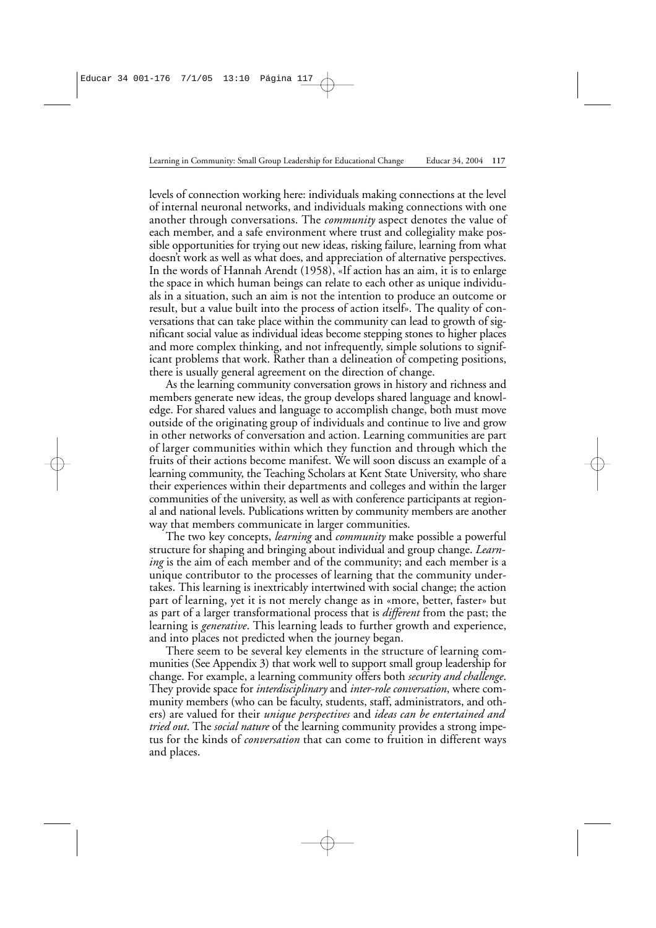levels of connection working here: individuals making connections at the level of internal neuronal networks, and individuals making connections with one another through conversations. The *community* aspect denotes the value of each member, and a safe environment where trust and collegiality make possible opportunities for trying out new ideas, risking failure, learning from what doesn't work as well as what does, and appreciation of alternative perspectives. In the words of Hannah Arendt (1958), «If action has an aim, it is to enlarge the space in which human beings can relate to each other as unique individuals in a situation, such an aim is not the intention to produce an outcome or result, but a value built into the process of action itself». The quality of conversations that can take place within the community can lead to growth of significant social value as individual ideas become stepping stones to higher places and more complex thinking, and not infrequently, simple solutions to significant problems that work. Rather than a delineation of competing positions, there is usually general agreement on the direction of change.

As the learning community conversation grows in history and richness and members generate new ideas, the group develops shared language and knowledge. For shared values and language to accomplish change, both must move outside of the originating group of individuals and continue to live and grow in other networks of conversation and action. Learning communities are part of larger communities within which they function and through which the fruits of their actions become manifest. We will soon discuss an example of a learning community, the Teaching Scholars at Kent State University, who share their experiences within their departments and colleges and within the larger communities of the university, as well as with conference participants at regional and national levels. Publications written by community members are another way that members communicate in larger communities.

The two key concepts, *learning* and *community* make possible a powerful structure for shaping and bringing about individual and group change. *Learning* is the aim of each member and of the community; and each member is a unique contributor to the processes of learning that the community undertakes. This learning is inextricably intertwined with social change; the action part of learning, yet it is not merely change as in «more, better, faster» but as part of a larger transformational process that is *different* from the past; the learning is *generative*. This learning leads to further growth and experience, and into places not predicted when the journey began.

There seem to be several key elements in the structure of learning communities (See Appendix 3) that work well to support small group leadership for change. For example, a learning community offers both *security and challenge*. They provide space for *interdisciplinary* and *inter-role conversation*, where community members (who can be faculty, students, staff, administrators, and others) are valued for their *unique perspectives* and *ideas can be entertained and tried out*. The *social nature* of the learning community provides a strong impetus for the kinds of *conversation* that can come to fruition in different ways and places.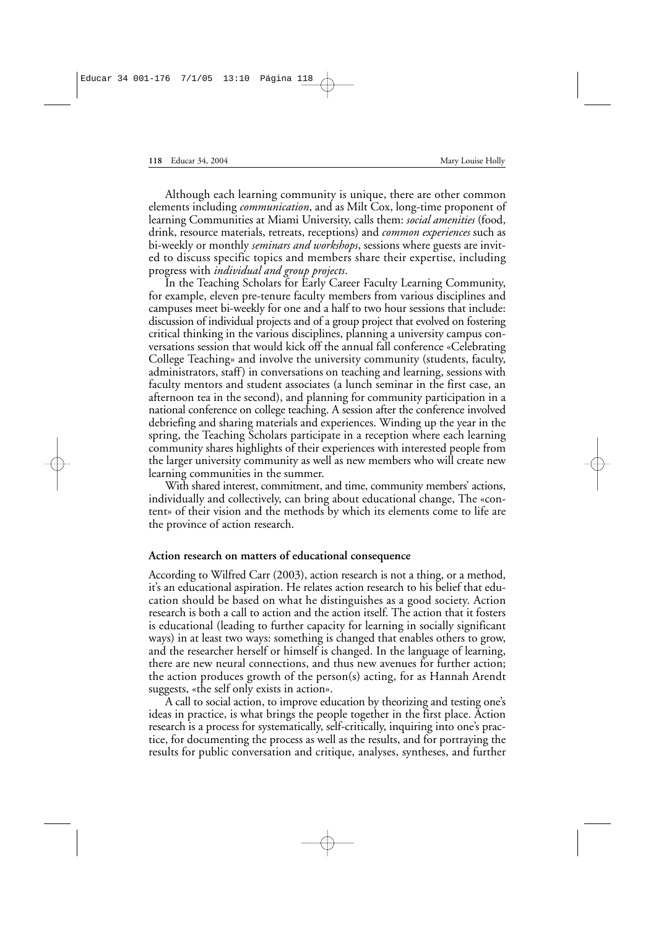Although each learning community is unique, there are other common elements including *communication*, and as Milt Cox, long-time proponent of learning Communities at Miami University, calls them: *social amenities* (food, drink, resource materials, retreats, receptions) and *common experiences* such as bi-weekly or monthly *seminars and workshops*, sessions where guests are invited to discuss specific topics and members share their expertise, including progress with *individual and group projects*.

In the Teaching Scholars for Early Career Faculty Learning Community, for example, eleven pre-tenure faculty members from various disciplines and campuses meet bi-weekly for one and a half to two hour sessions that include: discussion of individual projects and of a group project that evolved on fostering critical thinking in the various disciplines, planning a university campus conversations session that would kick off the annual fall conference «Celebrating College Teaching» and involve the university community (students, faculty, administrators, staff) in conversations on teaching and learning, sessions with faculty mentors and student associates (a lunch seminar in the first case, an afternoon tea in the second), and planning for community participation in a national conference on college teaching. A session after the conference involved debriefing and sharing materials and experiences. Winding up the year in the spring, the Teaching Scholars participate in a reception where each learning community shares highlights of their experiences with interested people from the larger university community as well as new members who will create new learning communities in the summer.

With shared interest, commitment, and time, community members' actions, individually and collectively, can bring about educational change, The «content» of their vision and the methods by which its elements come to life are the province of action research.

#### **Action research on matters of educational consequence**

According to Wilfred Carr (2003), action research is not a thing, or a method, it's an educational aspiration. He relates action research to his belief that education should be based on what he distinguishes as a good society. Action research is both a call to action and the action itself. The action that it fosters is educational (leading to further capacity for learning in socially significant ways) in at least two ways: something is changed that enables others to grow, and the researcher herself or himself is changed. In the language of learning, there are new neural connections, and thus new avenues for further action; the action produces growth of the person(s) acting, for as Hannah Arendt suggests, «the self only exists in action».

A call to social action, to improve education by theorizing and testing one's ideas in practice, is what brings the people together in the first place. Action research is a process for systematically, self-critically, inquiring into one's practice, for documenting the process as well as the results, and for portraying the results for public conversation and critique, analyses, syntheses, and further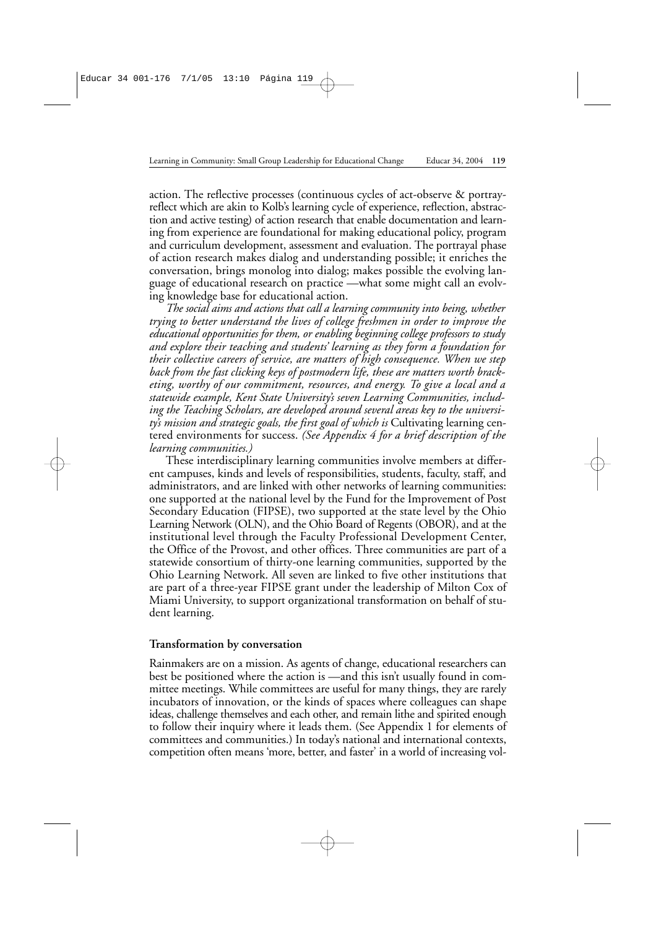action. The reflective processes (continuous cycles of act-observe & portrayreflect which are akin to Kolb's learning cycle of experience, reflection, abstraction and active testing) of action research that enable documentation and learning from experience are foundational for making educational policy, program and curriculum development, assessment and evaluation. The portrayal phase of action research makes dialog and understanding possible; it enriches the conversation, brings monolog into dialog; makes possible the evolving language of educational research on practice —what some might call an evolving knowledge base for educational action.

*The social aims and actions that call a learning community into being, whether trying to better understand the lives of college freshmen in order to improve the educational opportunities for them, or enabling beginning college professors to study and explore their teaching and students' learning as they form a foundation for their collective careers of service, are matters of high consequence. When we step back from the fast clicking keys of postmodern life, these are matters worth bracketing, worthy of our commitment, resources, and energy. To give a local and a statewide example, Kent State University's seven Learning Communities, including the Teaching Scholars, are developed around several areas key to the university's mission and strategic goals, the first goal of which is* Cultivating learning centered environments for success. *(See Appendix 4 for a brief description of the learning communities.)*

These interdisciplinary learning communities involve members at different campuses, kinds and levels of responsibilities, students, faculty, staff, and administrators, and are linked with other networks of learning communities: one supported at the national level by the Fund for the Improvement of Post Secondary Education (FIPSE), two supported at the state level by the Ohio Learning Network (OLN), and the Ohio Board of Regents (OBOR), and at the institutional level through the Faculty Professional Development Center, the Office of the Provost, and other offices. Three communities are part of a statewide consortium of thirty-one learning communities, supported by the Ohio Learning Network. All seven are linked to five other institutions that are part of a three-year FIPSE grant under the leadership of Milton Cox of Miami University, to support organizational transformation on behalf of student learning.

#### **Transformation by conversation**

Rainmakers are on a mission. As agents of change, educational researchers can best be positioned where the action is —and this isn't usually found in committee meetings. While committees are useful for many things, they are rarely incubators of innovation, or the kinds of spaces where colleagues can shape ideas, challenge themselves and each other, and remain lithe and spirited enough to follow their inquiry where it leads them. (See Appendix 1 for elements of committees and communities.) In today's national and international contexts, competition often means 'more, better, and faster' in a world of increasing vol-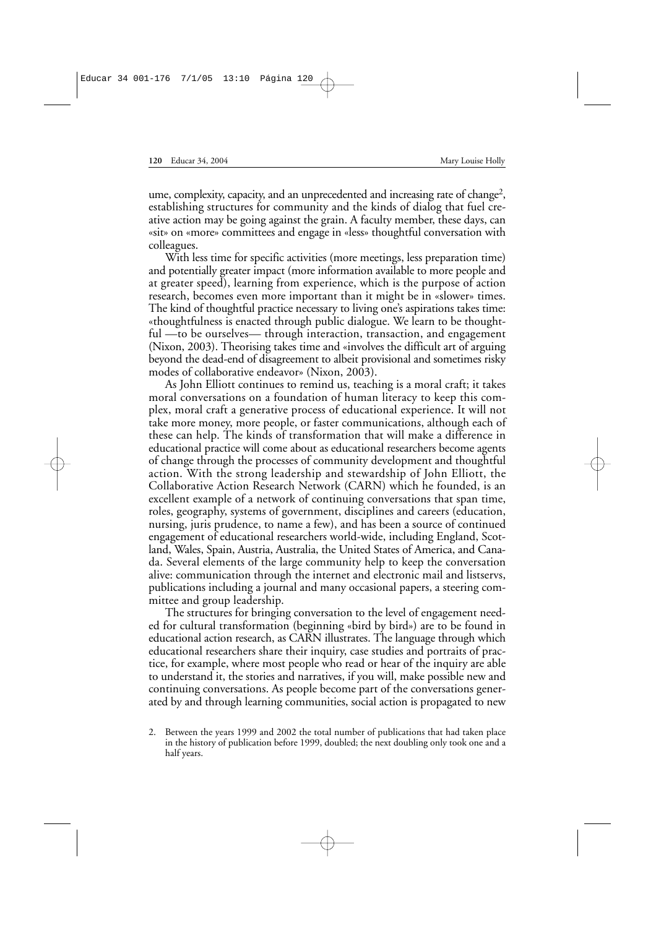ume, complexity, capacity, and an unprecedented and increasing rate of change<sup>2</sup>, establishing structures for community and the kinds of dialog that fuel creative action may be going against the grain. A faculty member, these days, can «sit» on «more» committees and engage in «less» thoughtful conversation with colleagues.

With less time for specific activities (more meetings, less preparation time) and potentially greater impact (more information available to more people and at greater speed), learning from experience, which is the purpose of action research, becomes even more important than it might be in «slower» times. The kind of thoughtful practice necessary to living one's aspirations takes time: «thoughtfulness is enacted through public dialogue. We learn to be thoughtful —to be ourselves— through interaction, transaction, and engagement (Nixon, 2003). Theorising takes time and «involves the difficult art of arguing beyond the dead-end of disagreement to albeit provisional and sometimes risky modes of collaborative endeavor» (Nixon, 2003).

As John Elliott continues to remind us, teaching is a moral craft; it takes moral conversations on a foundation of human literacy to keep this complex, moral craft a generative process of educational experience. It will not take more money, more people, or faster communications, although each of these can help. The kinds of transformation that will make a difference in educational practice will come about as educational researchers become agents of change through the processes of community development and thoughtful action. With the strong leadership and stewardship of John Elliott, the Collaborative Action Research Network (CARN) which he founded, is an excellent example of a network of continuing conversations that span time, roles, geography, systems of government, disciplines and careers (education, nursing, juris prudence, to name a few), and has been a source of continued engagement of educational researchers world-wide, including England, Scotland, Wales, Spain, Austria, Australia, the United States of America, and Canada. Several elements of the large community help to keep the conversation alive: communication through the internet and electronic mail and listservs, publications including a journal and many occasional papers, a steering committee and group leadership.

The structures for bringing conversation to the level of engagement needed for cultural transformation (beginning «bird by bird») are to be found in educational action research, as CARN illustrates. The language through which educational researchers share their inquiry, case studies and portraits of practice, for example, where most people who read or hear of the inquiry are able to understand it, the stories and narratives, if you will, make possible new and continuing conversations. As people become part of the conversations generated by and through learning communities, social action is propagated to new

<sup>2.</sup> Between the years 1999 and 2002 the total number of publications that had taken place in the history of publication before 1999, doubled; the next doubling only took one and a half years.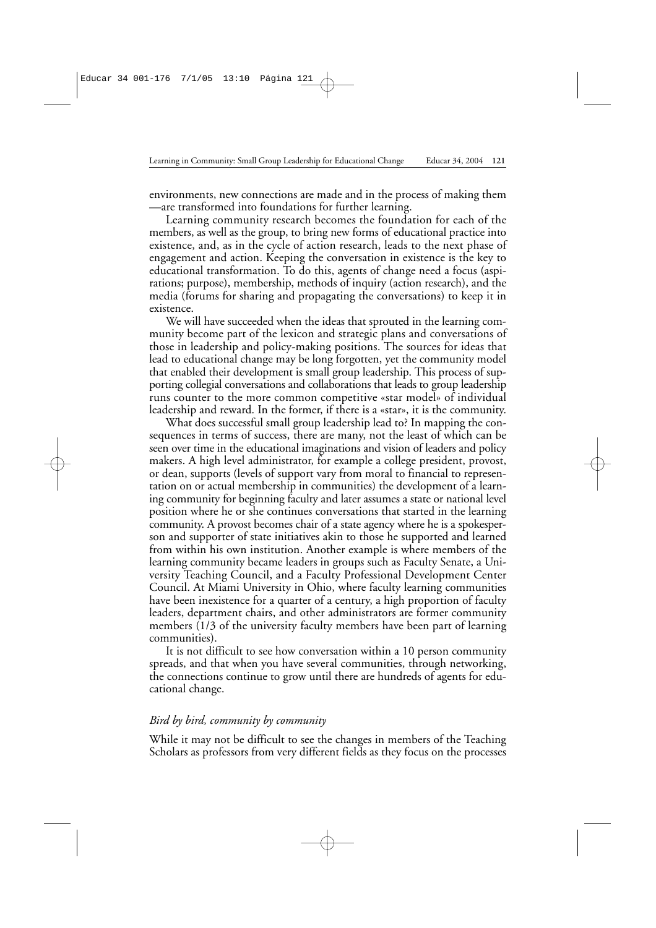environments, new connections are made and in the process of making them —are transformed into foundations for further learning.

Learning community research becomes the foundation for each of the members, as well as the group, to bring new forms of educational practice into existence, and, as in the cycle of action research, leads to the next phase of engagement and action. Keeping the conversation in existence is the key to educational transformation. To do this, agents of change need a focus (aspirations; purpose), membership, methods of inquiry (action research), and the media (forums for sharing and propagating the conversations) to keep it in existence.

We will have succeeded when the ideas that sprouted in the learning community become part of the lexicon and strategic plans and conversations of those in leadership and policy-making positions. The sources for ideas that lead to educational change may be long forgotten, yet the community model that enabled their development is small group leadership. This process of supporting collegial conversations and collaborations that leads to group leadership runs counter to the more common competitive «star model» of individual leadership and reward. In the former, if there is a «star», it is the community.

What does successful small group leadership lead to? In mapping the consequences in terms of success, there are many, not the least of which can be seen over time in the educational imaginations and vision of leaders and policy makers. A high level administrator, for example a college president, provost, or dean, supports (levels of support vary from moral to financial to representation on or actual membership in communities) the development of a learning community for beginning faculty and later assumes a state or national level position where he or she continues conversations that started in the learning community. A provost becomes chair of a state agency where he is a spokesperson and supporter of state initiatives akin to those he supported and learned from within his own institution. Another example is where members of the learning community became leaders in groups such as Faculty Senate, a University Teaching Council, and a Faculty Professional Development Center Council. At Miami University in Ohio, where faculty learning communities have been inexistence for a quarter of a century, a high proportion of faculty leaders, department chairs, and other administrators are former community members (1/3 of the university faculty members have been part of learning communities).

It is not difficult to see how conversation within a 10 person community spreads, and that when you have several communities, through networking, the connections continue to grow until there are hundreds of agents for educational change.

#### *Bird by bird, community by community*

While it may not be difficult to see the changes in members of the Teaching Scholars as professors from very different fields as they focus on the processes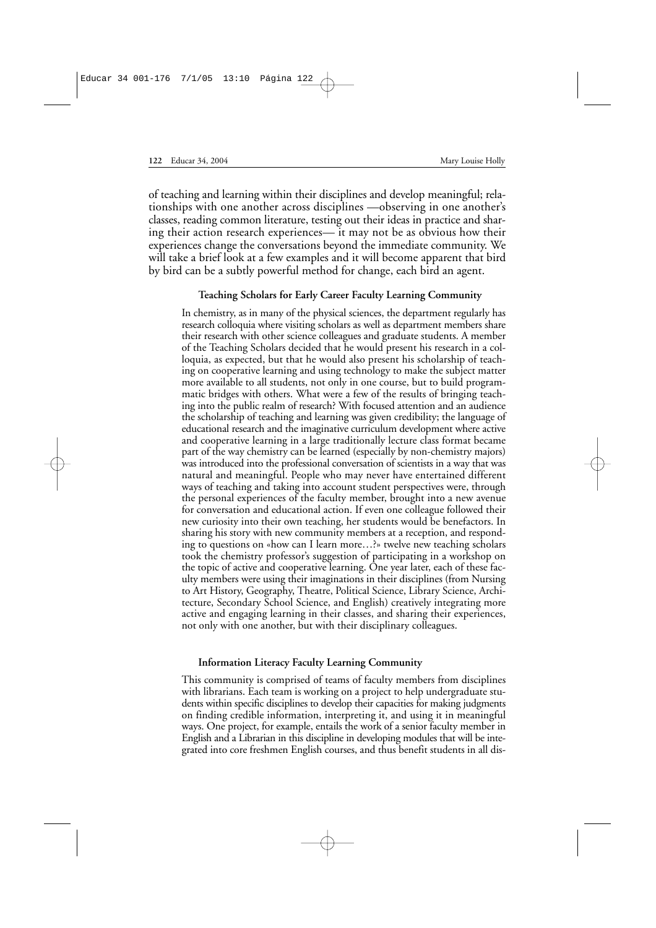of teaching and learning within their disciplines and develop meaningful; relationships with one another across disciplines —observing in one another's classes, reading common literature, testing out their ideas in practice and sharing their action research experiences— it may not be as obvious how their experiences change the conversations beyond the immediate community. We will take a brief look at a few examples and it will become apparent that bird by bird can be a subtly powerful method for change, each bird an agent.

#### **Teaching Scholars for Early Career Faculty Learning Community**

In chemistry, as in many of the physical sciences, the department regularly has research colloquia where visiting scholars as well as department members share their research with other science colleagues and graduate students. A member of the Teaching Scholars decided that he would present his research in a colloquia, as expected, but that he would also present his scholarship of teaching on cooperative learning and using technology to make the subject matter more available to all students, not only in one course, but to build programmatic bridges with others. What were a few of the results of bringing teaching into the public realm of research? With focused attention and an audience the scholarship of teaching and learning was given credibility; the language of educational research and the imaginative curriculum development where active and cooperative learning in a large traditionally lecture class format became part of the way chemistry can be learned (especially by non-chemistry majors) was introduced into the professional conversation of scientists in a way that was natural and meaningful. People who may never have entertained different ways of teaching and taking into account student perspectives were, through the personal experiences of the faculty member, brought into a new avenue for conversation and educational action. If even one colleague followed their new curiosity into their own teaching, her students would be benefactors. In sharing his story with new community members at a reception, and responding to questions on «how can I learn more…?» twelve new teaching scholars took the chemistry professor's suggestion of participating in a workshop on the topic of active and cooperative learning. One year later, each of these faculty members were using their imaginations in their disciplines (from Nursing to Art History, Geography, Theatre, Political Science, Library Science, Architecture, Secondary School Science, and English) creatively integrating more active and engaging learning in their classes, and sharing their experiences, not only with one another, but with their disciplinary colleagues.

#### **Information Literacy Faculty Learning Community**

This community is comprised of teams of faculty members from disciplines with librarians. Each team is working on a project to help undergraduate students within specific disciplines to develop their capacities for making judgments on finding credible information, interpreting it, and using it in meaningful ways. One project, for example, entails the work of a senior faculty member in English and a Librarian in this discipline in developing modules that will be integrated into core freshmen English courses, and thus benefit students in all dis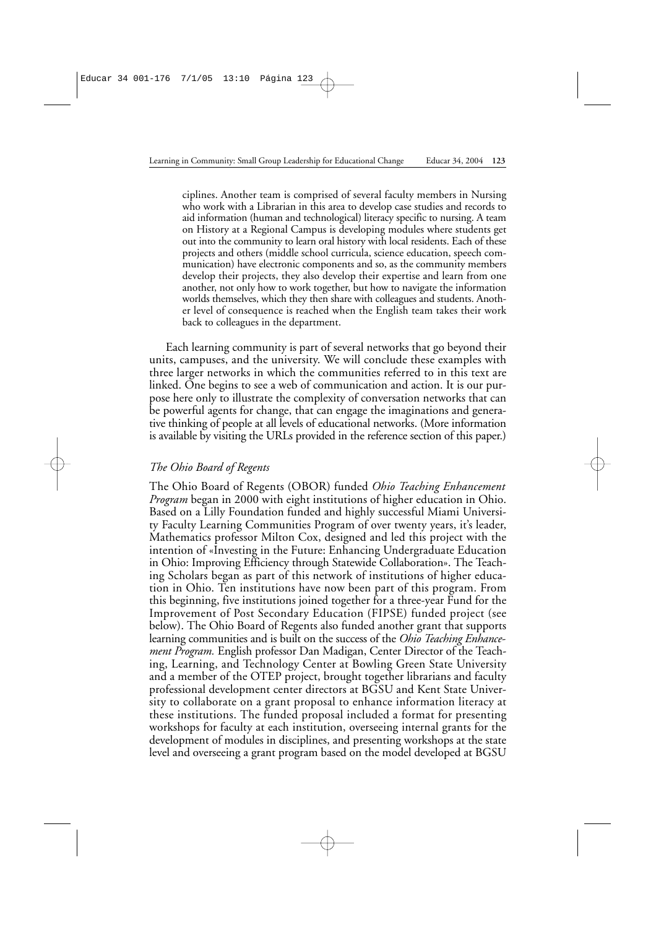ciplines. Another team is comprised of several faculty members in Nursing who work with a Librarian in this area to develop case studies and records to aid information (human and technological) literacy specific to nursing. A team on History at a Regional Campus is developing modules where students get out into the community to learn oral history with local residents. Each of these projects and others (middle school curricula, science education, speech communication) have electronic components and so, as the community members develop their projects, they also develop their expertise and learn from one another, not only how to work together, but how to navigate the information worlds themselves, which they then share with colleagues and students. Another level of consequence is reached when the English team takes their work back to colleagues in the department.

Each learning community is part of several networks that go beyond their units, campuses, and the university. We will conclude these examples with three larger networks in which the communities referred to in this text are linked. One begins to see a web of communication and action. It is our purpose here only to illustrate the complexity of conversation networks that can be powerful agents for change, that can engage the imaginations and generative thinking of people at all levels of educational networks. (More information is available by visiting the URLs provided in the reference section of this paper.)

### *The Ohio Board of Regents*

The Ohio Board of Regents (OBOR) funded *Ohio Teaching Enhancement Program* began in 2000 with eight institutions of higher education in Ohio. Based on a Lilly Foundation funded and highly successful Miami University Faculty Learning Communities Program of over twenty years, it's leader, Mathematics professor Milton Cox, designed and led this project with the intention of «Investing in the Future: Enhancing Undergraduate Education in Ohio: Improving Efficiency through Statewide Collaboration». The Teaching Scholars began as part of this network of institutions of higher education in Ohio. Ten institutions have now been part of this program. From this beginning, five institutions joined together for a three-year Fund for the Improvement of Post Secondary Education (FIPSE) funded project (see below). The Ohio Board of Regents also funded another grant that supports learning communities and is built on the success of the *Ohio Teaching Enhancement Program.* English professor Dan Madigan, Center Director of the Teaching, Learning, and Technology Center at Bowling Green State University and a member of the OTEP project, brought together librarians and faculty professional development center directors at BGSU and Kent State University to collaborate on a grant proposal to enhance information literacy at these institutions. The funded proposal included a format for presenting workshops for faculty at each institution, overseeing internal grants for the development of modules in disciplines, and presenting workshops at the state level and overseeing a grant program based on the model developed at BGSU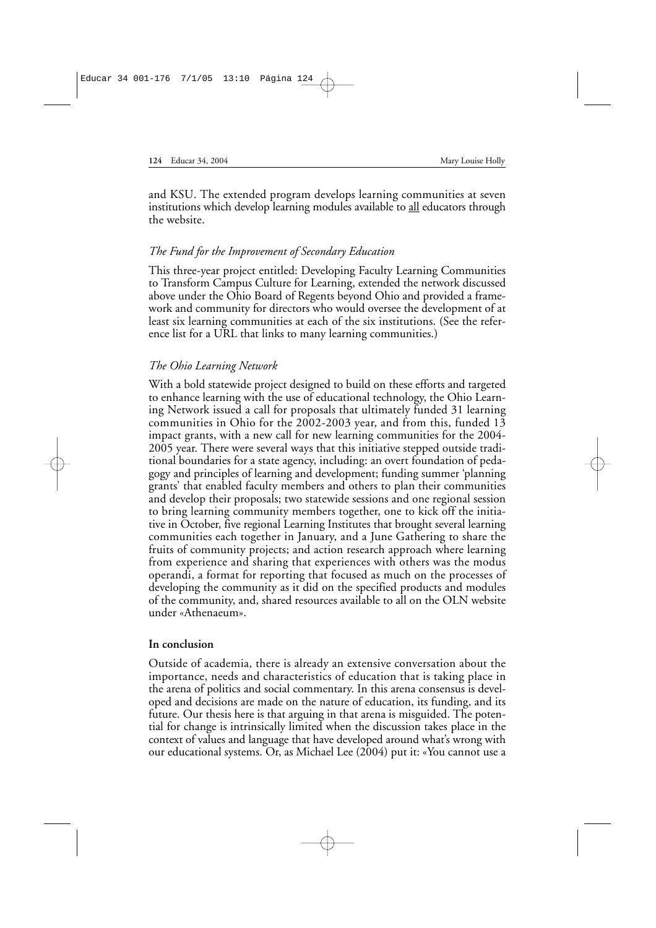and KSU. The extended program develops learning communities at seven institutions which develop learning modules available to all educators through the website.

### *The Fund for the Improvement of Secondary Education*

This three-year project entitled: Developing Faculty Learning Communities to Transform Campus Culture for Learning, extended the network discussed above under the Ohio Board of Regents beyond Ohio and provided a framework and community for directors who would oversee the development of at least six learning communities at each of the six institutions. (See the reference list for a URL that links to many learning communities.)

### *The Ohio Learning Network*

With a bold statewide project designed to build on these efforts and targeted to enhance learning with the use of educational technology, the Ohio Learning Network issued a call for proposals that ultimately funded 31 learning communities in Ohio for the 2002-2003 year, and from this, funded 13 impact grants, with a new call for new learning communities for the 2004- 2005 year. There were several ways that this initiative stepped outside traditional boundaries for a state agency, including: an overt foundation of pedagogy and principles of learning and development; funding summer 'planning grants' that enabled faculty members and others to plan their communities and develop their proposals; two statewide sessions and one regional session to bring learning community members together, one to kick off the initiative in October, five regional Learning Institutes that brought several learning communities each together in January, and a June Gathering to share the fruits of community projects; and action research approach where learning from experience and sharing that experiences with others was the modus operandi, a format for reporting that focused as much on the processes of developing the community as it did on the specified products and modules of the community, and, shared resources available to all on the OLN website under «Athenaeum».

### **In conclusion**

Outside of academia, there is already an extensive conversation about the importance, needs and characteristics of education that is taking place in the arena of politics and social commentary. In this arena consensus is developed and decisions are made on the nature of education, its funding, and its future. Our thesis here is that arguing in that arena is misguided. The potential for change is intrinsically limited when the discussion takes place in the context of values and language that have developed around what's wrong with our educational systems. Or, as Michael Lee (2004) put it: «You cannot use a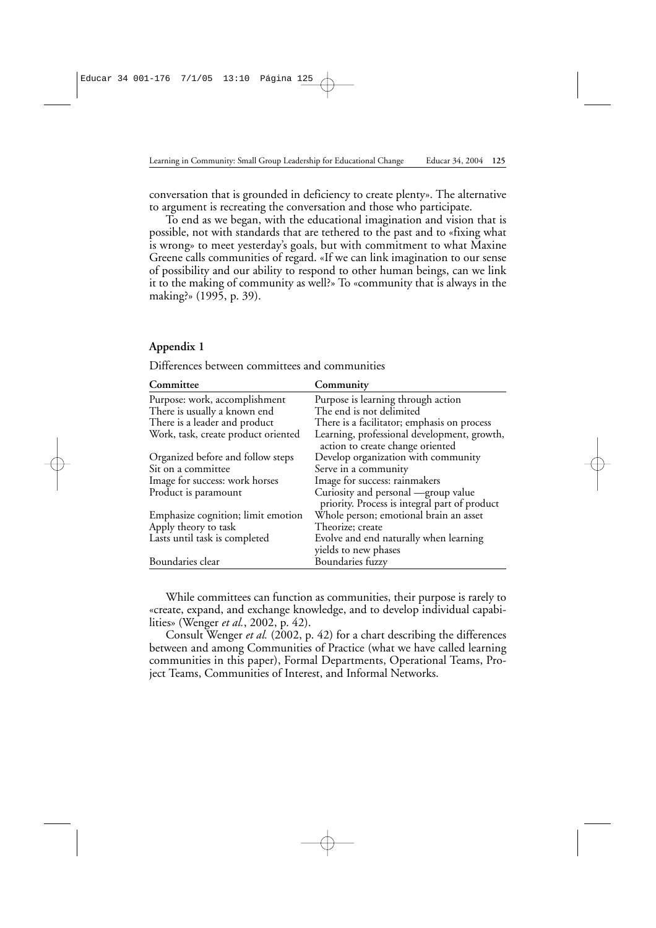conversation that is grounded in deficiency to create plenty». The alternative to argument is recreating the conversation and those who participate.

To end as we began, with the educational imagination and vision that is possible, not with standards that are tethered to the past and to «fixing what is wrong» to meet yesterday's goals, but with commitment to what Maxine Greene calls communities of regard. «If we can link imagination to our sense of possibility and our ability to respond to other human beings, can we link it to the making of community as well?» To «community that is always in the making?» (1995, p. 39).

### **Appendix 1**

| Committee                           | Community                                     |
|-------------------------------------|-----------------------------------------------|
| Purpose: work, accomplishment       | Purpose is learning through action            |
| There is usually a known end        | The end is not delimited                      |
| There is a leader and product       | There is a facilitator; emphasis on process   |
| Work, task, create product oriented | Learning, professional development, growth,   |
|                                     | action to create change oriented              |
| Organized before and follow steps   | Develop organization with community           |
| Sit on a committee                  | Serve in a community                          |
| Image for success: work horses      | Image for success: rainmakers                 |
| Product is paramount                | Curiosity and personal —group value           |
|                                     | priority. Process is integral part of product |
| Emphasize cognition; limit emotion  | Whole person; emotional brain an asset        |
| Apply theory to task                | Theorize; create                              |
| Lasts until task is completed       | Evolve and end naturally when learning        |
|                                     | yields to new phases                          |
| Boundaries clear                    | Boundaries fuzzy                              |

Differences between committees and communities

While committees can function as communities, their purpose is rarely to «create, expand, and exchange knowledge, and to develop individual capabilities» (Wenger *et al.*, 2002, p. 42).

Consult Wenger *et al.* (2002, p. 42) for a chart describing the differences between and among Communities of Practice (what we have called learning communities in this paper), Formal Departments, Operational Teams, Project Teams, Communities of Interest, and Informal Networks.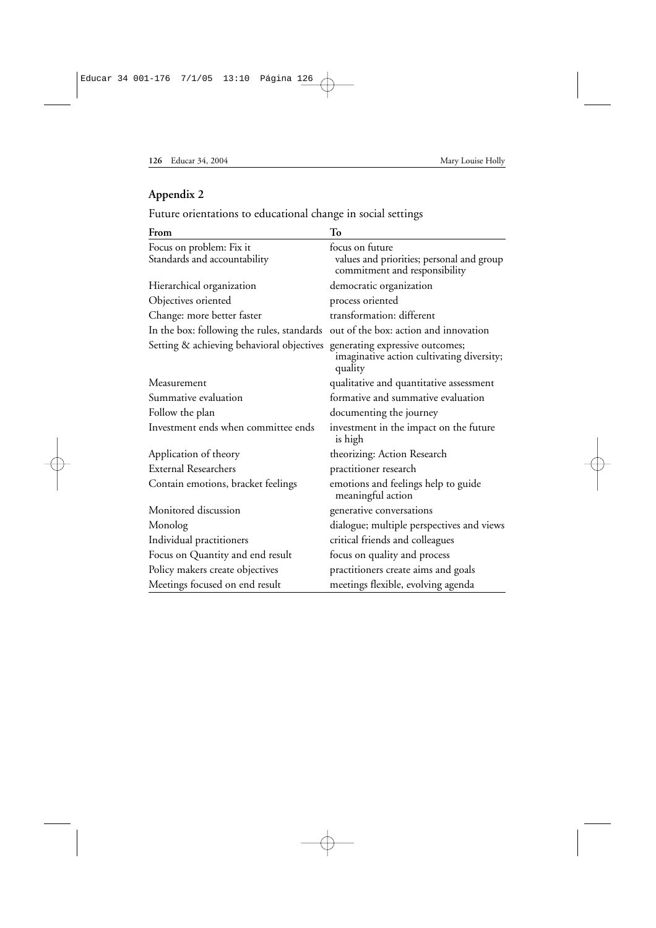## **Appendix 2**

Future orientations to educational change in social settings

| From                                                     | To                                                                                            |
|----------------------------------------------------------|-----------------------------------------------------------------------------------------------|
| Focus on problem: Fix it<br>Standards and accountability | focus on future<br>values and priorities; personal and group<br>commitment and responsibility |
| Hierarchical organization                                | democratic organization                                                                       |
| Objectives oriented                                      | process oriented                                                                              |
| Change: more better faster                               | transformation: different                                                                     |
| In the box: following the rules, standards               | out of the box: action and innovation                                                         |
| Setting & achieving behavioral objectives                | generating expressive outcomes;<br>imaginative action cultivating diversity;<br>quality       |
| Measurement                                              | qualitative and quantitative assessment                                                       |
| Summative evaluation                                     | formative and summative evaluation                                                            |
| Follow the plan                                          | documenting the journey                                                                       |
| Investment ends when committee ends                      | investment in the impact on the future<br>is high                                             |
| Application of theory                                    | theorizing: Action Research                                                                   |
| External Researchers                                     | practitioner research                                                                         |
| Contain emotions, bracket feelings                       | emotions and feelings help to guide<br>meaningful action                                      |
| Monitored discussion                                     | generative conversations                                                                      |
| Monolog                                                  | dialogue; multiple perspectives and views                                                     |
| Individual practitioners                                 | critical friends and colleagues                                                               |
| Focus on Quantity and end result                         | focus on quality and process                                                                  |
| Policy makers create objectives                          | practitioners create aims and goals                                                           |
| Meetings focused on end result                           | meetings flexible, evolving agenda                                                            |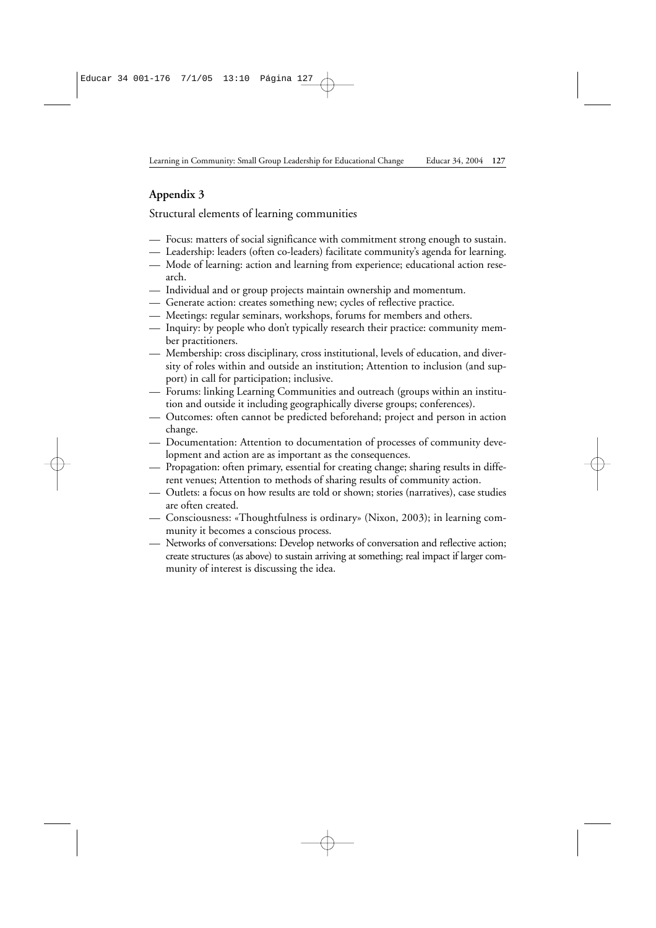# **Appendix 3**

Structural elements of learning communities

- Focus: matters of social significance with commitment strong enough to sustain.
- Leadership: leaders (often co-leaders) facilitate community's agenda for learning.
- Mode of learning: action and learning from experience; educational action research.
- Individual and or group projects maintain ownership and momentum.
- Generate action: creates something new; cycles of reflective practice.
- Meetings: regular seminars, workshops, forums for members and others.
- Inquiry: by people who don't typically research their practice: community member practitioners.
- Membership: cross disciplinary, cross institutional, levels of education, and diversity of roles within and outside an institution; Attention to inclusion (and support) in call for participation; inclusive.
- Forums: linking Learning Communities and outreach (groups within an institution and outside it including geographically diverse groups; conferences).
- Outcomes: often cannot be predicted beforehand; project and person in action change.
- Documentation: Attention to documentation of processes of community development and action are as important as the consequences.
- Propagation: often primary, essential for creating change; sharing results in different venues; Attention to methods of sharing results of community action.
- Outlets: a focus on how results are told or shown; stories (narratives), case studies are often created.
- Consciousness: «Thoughtfulness is ordinary» (Nixon, 2003); in learning community it becomes a conscious process.
- Networks of conversations: Develop networks of conversation and reflective action; create structures (as above) to sustain arriving at something; real impact if larger community of interest is discussing the idea.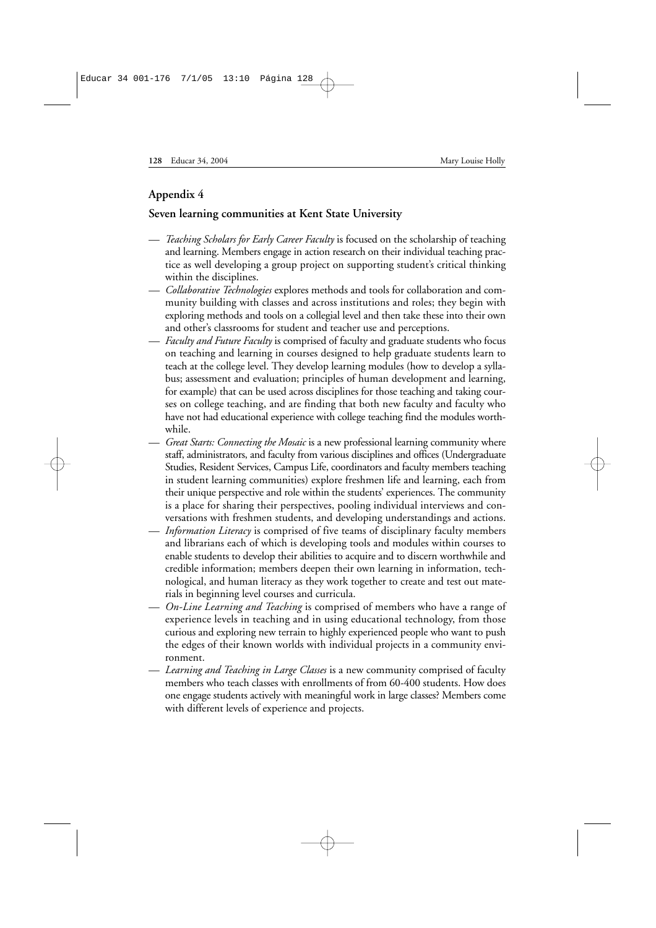### **Appendix 4**

### **Seven learning communities at Kent State University**

- *Teaching Scholars for Early Career Faculty* is focused on the scholarship of teaching and learning. Members engage in action research on their individual teaching practice as well developing a group project on supporting student's critical thinking within the disciplines.
- *— Collaborative Technologies* explores methods and tools for collaboration and community building with classes and across institutions and roles; they begin with exploring methods and tools on a collegial level and then take these into their own and other's classrooms for student and teacher use and perceptions.
- *Faculty and Future Faculty* is comprised of faculty and graduate students who focus on teaching and learning in courses designed to help graduate students learn to teach at the college level. They develop learning modules (how to develop a syllabus; assessment and evaluation; principles of human development and learning, for example) that can be used across disciplines for those teaching and taking courses on college teaching, and are finding that both new faculty and faculty who have not had educational experience with college teaching find the modules worthwhile.
- *Great Starts: Connecting the Mosaic* is a new professional learning community where staff, administrators, and faculty from various disciplines and offices (Undergraduate Studies, Resident Services, Campus Life, coordinators and faculty members teaching in student learning communities) explore freshmen life and learning, each from their unique perspective and role within the students' experiences. The community is a place for sharing their perspectives, pooling individual interviews and conversations with freshmen students, and developing understandings and actions.
- *Information Literacy* is comprised of five teams of disciplinary faculty members and librarians each of which is developing tools and modules within courses to enable students to develop their abilities to acquire and to discern worthwhile and credible information; members deepen their own learning in information, technological, and human literacy as they work together to create and test out materials in beginning level courses and curricula.
- *On-Line Learning and Teaching* is comprised of members who have a range of experience levels in teaching and in using educational technology, from those curious and exploring new terrain to highly experienced people who want to push the edges of their known worlds with individual projects in a community environment.
- *Learning and Teaching in Large Classes* is a new community comprised of faculty members who teach classes with enrollments of from 60-400 students. How does one engage students actively with meaningful work in large classes? Members come with different levels of experience and projects.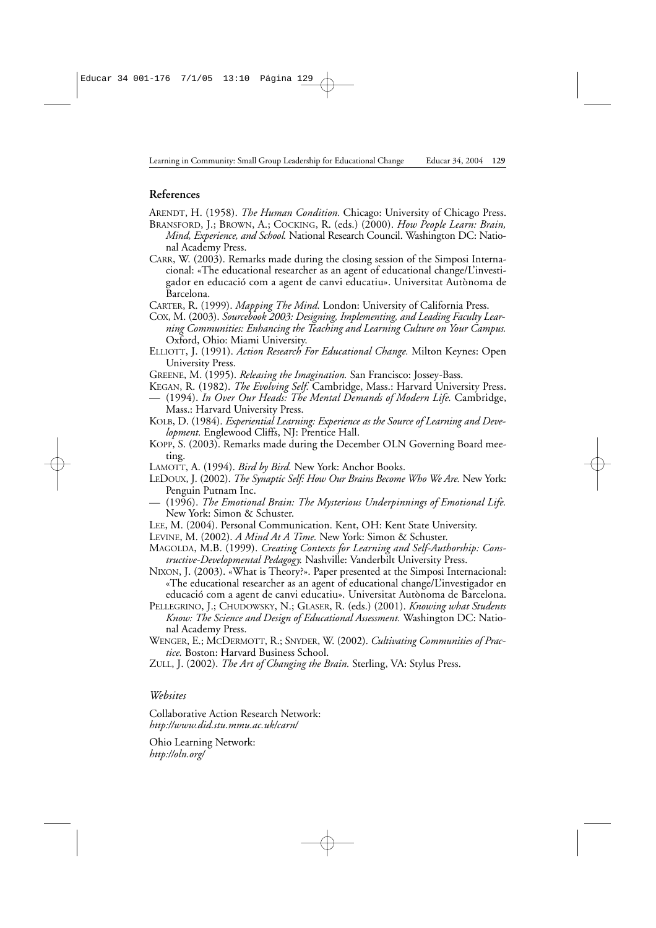### **References**

ARENDT, H. (1958). *The Human Condition.* Chicago: University of Chicago Press.

- BRANSFORD, J.; BROWN, A.; COCKING, R. (eds.) (2000). *How People Learn: Brain, Mind, Experience, and School.* National Research Council. Washington DC: National Academy Press.
- CARR, W. (2003). Remarks made during the closing session of the Simposi Internacional: «The educational researcher as an agent of educational change/L'investigador en educació com a agent de canvi educatiu». Universitat Autònoma de Barcelona.
- CARTER, R. (1999). *Mapping The Mind.* London: University of California Press.
- COX, M. (2003). *Sourcebook 2003: Designing, Implementing, and Leading Faculty Learning Communities: Enhancing the Teaching and Learning Culture on Your Campus.* Oxford, Ohio: Miami University.
- ELLIOTT, J. (1991). *Action Research For Educational Change.* Milton Keynes: Open University Press.
- GREENE, M. (1995). *Releasing the Imagination.* San Francisco: Jossey-Bass.
- KEGAN, R. (1982). *The Evolving Self.* Cambridge, Mass.: Harvard University Press.
- (1994). *In Over Our Heads: The Mental Demands of Modern Life.* Cambridge, Mass.: Harvard University Press.
- KOLB, D. (1984). *Experiential Learning: Experience as the Source of Learning and Development.* Englewood Cliffs, NJ: Prentice Hall.
- KOPP, S. (2003). Remarks made during the December OLN Governing Board meeting.
- LAMOTT, A. (1994). *Bird by Bird.* New York: Anchor Books.
- LEDOUX, J. (2002). *The Synaptic Self: How Our Brains Become Who We Are.* New York: Penguin Putnam Inc.
- (1996). *The Emotional Brain: The Mysterious Underpinnings of Emotional Life.* New York: Simon & Schuster.
- LEE, M. (2004). Personal Communication. Kent, OH: Kent State University.
- LEVINE, M. (2002). *A Mind At A Time.* New York: Simon & Schuster.
- MAGOLDA, M.B. (1999). *Creating Contexts for Learning and Self-Authorship: Constructive-Developmental Pedagogy.* Nashville: Vanderbilt University Press.
- NIXON, J. (2003). «What is Theory?». Paper presented at the Simposi Internacional: «The educational researcher as an agent of educational change/L'investigador en educació com a agent de canvi educatiu». Universitat Autònoma de Barcelona.
- PELLEGRINO, J.; CHUDOWSKY, N.; GLASER, R. (eds.) (2001). *Knowing what Students Know: The Science and Design of Educational Assessment.* Washington DC: National Academy Press.
- WENGER, E.; MCDERMOTT, R.; SNYDER, W. (2002). *Cultivating Communities of Practice.* Boston: Harvard Business School.
- ZULL, J. (2002). *The Art of Changing the Brain.* Sterling, VA: Stylus Press.

*Websites*

Collaborative Action Research Network: *http://www.did.stu.mmu.ac.uk/carn/*

Ohio Learning Network: *http://oln.org/*